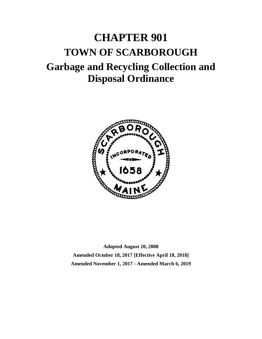# **CHAPTER 901 TOWN OF SCARBOROUGH Garbage and Recycling Collection and Disposal Ordinance**



**Adopted August 20, 2008 Amended October 18, 2017 [Effective April 18, 2018] Amended November 1, 2017 - Amended March 6, 2019**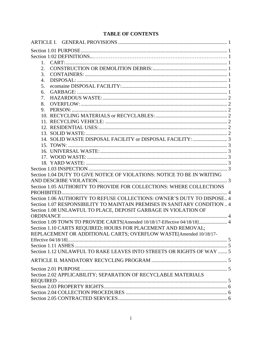# **TABLE OF CONTENTS**

| 2.                                                                        |  |
|---------------------------------------------------------------------------|--|
| 3.                                                                        |  |
| 4.                                                                        |  |
| 5.                                                                        |  |
| 6.                                                                        |  |
| 7.                                                                        |  |
| 8.                                                                        |  |
| 9.                                                                        |  |
|                                                                           |  |
|                                                                           |  |
|                                                                           |  |
|                                                                           |  |
|                                                                           |  |
|                                                                           |  |
|                                                                           |  |
|                                                                           |  |
|                                                                           |  |
|                                                                           |  |
| Section 1.04 DUTY TO GIVE NOTICE OF VIOLATIONS: NOTICE TO BE IN WRITING   |  |
| . 3                                                                       |  |
| Section 1.05 AUTHORITY TO PROVIDE FOR COLLECTIONS: WHERE COLLECTIONS      |  |
|                                                                           |  |
| Section 1.06 AUTHORITY TO REFUSE COLLECTIONS: OWNER'S DUTY TO DISPOSE 4   |  |
| Section 1.07 RESPONSIBILITY TO MAINTAIN PREMISES IN SANITARY CONDITION  4 |  |
| Section 1.08 UNLAWFUL TO PLACE, DEPOSIT GARBAGE IN VIOLATION OF           |  |
|                                                                           |  |
| Section 1.09 TOWN TO PROVIDE CARTS[Amended 10/18/17-Effective 04/18/18] 4 |  |
| Section 1.10 CARTS REQUIRED; HOURS FOR PLACEMENT AND REMOVAL;             |  |
| REPLACEMENT OR ADDITIONAL CARTS; OVERFLOW WASTE[Amended 10/18/17-         |  |
|                                                                           |  |
|                                                                           |  |
| Section 1.12 UNLAWFUL TO RAKE LEAVES INTO STREETS OR RIGHTS OF WAY  5     |  |
|                                                                           |  |
|                                                                           |  |
| Section 2.02 APPLICABILITY; SEPARATION OF RECYCLABLE MATERIALS            |  |
|                                                                           |  |
|                                                                           |  |
|                                                                           |  |
|                                                                           |  |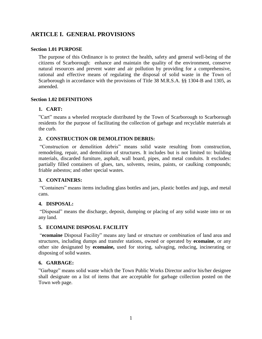# **ARTICLE I. GENERAL PROVISIONS**

## **Section 1.01 PURPOSE**

The purpose of this Ordinance is to protect the health, safety and general well-being of the citizens of Scarborough: enhance and maintain the quality of the environment, conserve natural resources and prevent water and air pollution by providing for a comprehensive, rational and effective means of regulating the disposal of solid waste in the Town of Scarborough in accordance with the provisions of Title 38 M.R.S.A. §§ 1304-B and 1305, as amended.

## **Section 1.02 DEFINITIONS**

# **1. CART:**

"Cart" means a wheeled receptacle distributed by the Town of Scarborough to Scarborough residents for the purpose of facilitating the collection of garbage and recyclable materials at the curb.

# **2. CONSTRUCTION OR DEMOLITION DEBRIS:**

"Construction or demolition debris" means solid waste resulting from construction, remodeling, repair, and demolition of structures. It includes but is not limited to: building materials, discarded furniture, asphalt, wall board, pipes, and metal conduits. It excludes: partially filled containers of glues, tars, solvents, resins, paints, or caulking compounds; friable asbestos; and other special wastes.

# **3. CONTAINERS:**

"Containers" means items including glass bottles and jars, plastic bottles and jugs, and metal cans.

# **4. DISPOSAL:**

"Disposal" means the discharge, deposit, dumping or placing of any solid waste into or on any land.

# **5. ECOMAINE DISPOSAL FACILITY**

"**ecomaine** Disposal Facility" means any land or structure or combination of land area and structures, including dumps and transfer stations, owned or operated by **ecomaine**, or any other site designated by **ecomaine,** used for storing, salvaging, reducing, incinerating or disposing of solid wastes.

# **6. GARBAGE:**

"Garbage" means solid waste which the Town Public Works Director and/or his/her designee shall designate on a list of items that are acceptable for garbage collection posted on the Town web page.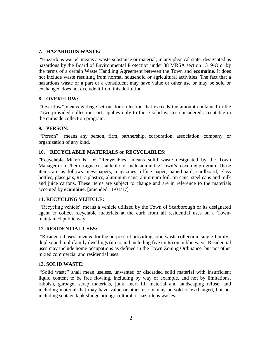# **7. HAZARDOUS WASTE:**

"Hazardous waste" means a waste substance or material, in any physical state, designated as hazardous by the Board of Environmental Protection under 38 MRSA section 1319-O or by the terms of a certain Waste Handling Agreement between the Town and **ecomaine**. It does not include waste resulting from normal household or agricultural activities. The fact that a hazardous waste or a part or a constituent may have value or other use or may be sold or exchanged does not exclude it from this definition.

# **8. OVERFLOW:**

"Overflow" means garbage set out for collection that exceeds the amount contained in the Town-provided collection cart; applies only to those solid wastes considered acceptable in the curbside collection program.

# **9. PERSON:**

"Person" means any person, firm, partnership, corporation, association, company, or organization of any kind.

# **10. RECYCLABLE MATERIALS or RECYCLABLES:**

"Recyclable Materials" or "Recyclables" means solid waste designated by the Town Manager or his/her designee as suitable for inclusion in the Town's recycling program. These items are as follows: newspapers, magazines, office paper, paperboard, cardboard, glass bottles, glass jars, #1-7 plastics, aluminum cans, aluminum foil, tin cans, steel cans and milk and juice cartons. These items are subject to change and are in reference to the materials accepted by **ecomaine**. [amended 11/01/17]

# **11. RECYCLING VEHICLE:**

"Recycling vehicle" means a vehicle utilized by the Town of Scarborough or its designated agent to collect recyclable materials at the curb from all residential uses on a Townmaintained public way.

## **12. RESIDENTIAL USES:**

"Residential uses" means, for the purpose of providing solid waste collection, single-family, duplex and multifamily dwellings (up to and including five units) on public ways. Residential uses may include home occupations as defined in the Town Zoning Ordinance, but not other mixed commercial and residential uses.

## **13. SOLID WASTE:**

"Solid waste" shall mean useless, unwanted or discarded solid material with insufficient liquid content to be free flowing, including by way of example, and not by limitations, rubbish, garbage, scrap materials, junk, inert fill material and landscaping refuse, and including material that may have value or other use or may be sold or exchanged, but not including septage tank sludge nor agricultural or hazardous wastes.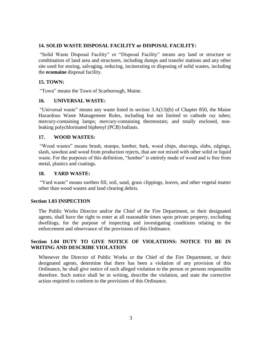# **14. SOLID WASTE DISPOSAL FACILITY or DISPOSAL FACILITY:**

"Solid Waste Disposal Facility" or "Disposal Facility" means any land or structure or combination of land area and structures, including dumps and transfer stations and any other site used for storing, salvaging, reducing, incinerating or disposing of solid wastes, including the **ecomaine** disposal facility.

## **15. TOWN:**

"Town" means the Town of Scarborough, Maine.

## **16. UNIVERSAL WASTE:**

"Universal waste" means any waste listed in section 3.A(13)(b) of Chapter 850, the Maine Hazardous Waste Management Rules, including but not limited to cathode ray tubes; mercury-containing lamps; mercury-containing thermostats; and totally enclosed, nonleaking polychlorinated biphenyl (PCB) ballasts.

## **17. WOOD WASTES:**

"Wood wastes" means brush, stumps, lumber, bark, wood chips, shavings, slabs, edgings, slash, sawdust and wood from production rejects, that are not mixed with other solid or liquid waste. For the purposes of this definition, "lumber" is entirely made of wood and is free from metal, plastics and coatings.

## **18. YARD WASTE:**

"Yard waste" means earthen fill, soil, sand, grass clippings, leaves, and other vegetal matter other than wood wastes and land clearing debris.

## **Section 1.03 INSPECTION**

The Public Works Director and/or the Chief of the Fire Department, or their designated agents, shall have the right to enter at all reasonable times upon private property, excluding dwellings, for the purpose of inspecting and investigating conditions relating to the enforcement and observance of the provisions of this Ordinance.

## **Section 1.04 DUTY TO GIVE NOTICE OF VIOLATIONS: NOTICE TO BE IN WRITING AND DESCRIBE VIOLATION**

Whenever the Director of Public Works or the Chief of the Fire Department, or their designated agents, determine that there has been a violation of any provision of this Ordinance, he shall give notice of such alleged violation to the person or persons responsible therefore. Such notice shall be in writing, describe the violation, and state the corrective action required to conform to the provisions of this Ordinance.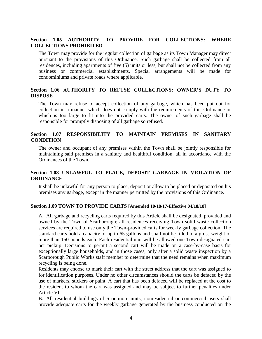## **Section 1.05 AUTHORITY TO PROVIDE FOR COLLECTIONS: WHERE COLLECTIONS PROHIBITED**

The Town may provide for the regular collection of garbage as its Town Manager may direct pursuant to the provisions of this Ordinance. Such garbage shall be collected from all residences, including apartments of five (5) units or less, but shall not be collected from any business or commercial establishments. Special arrangements will be made for condominiums and private roads where applicable.

## **Section 1.06 AUTHORITY TO REFUSE COLLECTIONS: OWNER'S DUTY TO DISPOSE**

The Town may refuse to accept collection of any garbage, which has been put out for collection in a manner which does not comply with the requirements of this Ordinance or which is too large to fit into the provided carts. The owner of such garbage shall be responsible for promptly disposing of all garbage so refused.

## **Section 1.07 RESPONSIBILITY TO MAINTAIN PREMISES IN SANITARY CONDITION**

The owner and occupant of any premises within the Town shall be jointly responsible for maintaining said premises in a sanitary and healthful condition, all in accordance with the Ordinances of the Town.

# **Section 1.08 UNLAWFUL TO PLACE, DEPOSIT GARBAGE IN VIOLATION OF ORDINANCE**

It shall be unlawful for any person to place, deposit or allow to be placed or deposited on his premises any garbage, except in the manner permitted by the provisions of this Ordinance.

#### **Section 1.09 TOWN TO PROVIDE CARTS [Amended 10/18/17-Effective 04/18/18]**

A. All garbage and recycling carts required by this Article shall be designated, provided and owned by the Town of Scarborough; all residences receiving Town solid waste collection services are required to use only the Town-provided carts for weekly garbage collection. The standard carts hold a capacity of up to 65 gallons and shall not be filled to a gross weight of more than 150 pounds each. Each residential unit will be allowed one Town-designated cart per pickup. Decisions to permit a second cart will be made on a case-by-case basis for exceptionally large households, and in those cases, only after a solid waste inspection by a Scarborough Public Works staff member to determine that the need remains when maximum recycling is being done.

Residents may choose to mark their cart with the street address that the cart was assigned to for identification purposes. Under no other circumstances should the carts be defaced by the use of markers, stickers or paint. A cart that has been defaced will be replaced at the cost to the resident to whom the cart was assigned and may be subject to further penalties under Article VI.

B. All residential buildings of 6 or more units, nonresidential or commercial users shall provide adequate carts for the weekly garbage generated by the business conducted on the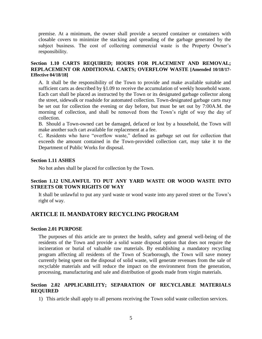premise. At a minimum, the owner shall provide a secured container or containers with closable covers to minimize the stacking and spreading of the garbage generated by the subject business. The cost of collecting commercial waste is the Property Owner's responsibility.

## **Section 1.10 CARTS REQUIRED; HOURS FOR PLACEMENT AND REMOVAL; REPLACEMENT OR ADDITIONAL CARTS; OVERFLOW WASTE [Amended 10/18/17- Effective 04/18/18]**

A. It shall be the responsibility of the Town to provide and make available suitable and sufficient carts as described by §1.09 to receive the accumulation of weekly household waste. Each cart shall be placed as instructed by the Town or its designated garbage collector along the street, sidewalk or roadside for automated collection. Town-designated garbage carts may be set out for collection the evening or day before, but must be set out by 7:00A.M. the morning of collection, and shall be removed from the Town's right of way the day of collection.

B. Should a Town-owned cart be damaged, defaced or lost by a household, the Town will make another such cart available for replacement at a fee.

C. Residents who have "overflow waste," defined as garbage set out for collection that exceeds the amount contained in the Town-provided collection cart, may take it to the Department of Public Works for disposal.

## **Section 1.11 ASHES**

No hot ashes shall be placed for collection by the Town.

# **Section 1.12 UNLAWFUL TO PUT ANY YARD WASTE OR WOOD WASTE INTO STREETS OR TOWN RIGHTS OF WAY**

It shall be unlawful to put any yard waste or wood waste into any paved street or the Town's right of way.

# **ARTICLE II. MANDATORY RECYCLING PROGRAM**

#### **Section 2.01 PURPOSE**

The purposes of this article are to protect the health, safety and general well-being of the residents of the Town and provide a solid waste disposal option that does not require the incineration or burial of valuable raw materials. By establishing a mandatory recycling program affecting all residents of the Town of Scarborough, the Town will save money currently being spent on the disposal of solid waste, will generate revenues from the sale of recyclable materials and will reduce the impact on the environment from the generation, processing, manufacturing and sale and distribution of goods made from virgin materials.

## **Section 2.02 APPLICABILITY; SEPARATION OF RECYCLABLE MATERIALS REQUIRED**

1) This article shall apply to all persons receiving the Town solid waste collection services.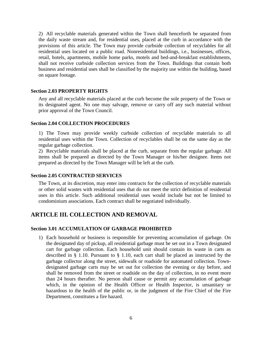2) All recyclable materials generated within the Town shall henceforth be separated from the daily waste stream and, for residential uses, placed at the curb in accordance with the provisions of this article. The Town may provide curbside collection of recyclables for all residential uses located on a public road. Nonresidential buildings, i.e., businesses, offices, retail, hotels, apartments, mobile home parks, motels and bed-and-breakfast establishments, shall not receive curbside collection services from the Town. Buildings that contain both business and residential uses shall be classified by the majority use within the building, based on square footage.

## **Section 2.03 PROPERTY RIGHTS**

Any and all recyclable materials placed at the curb become the sole property of the Town or its designated agent. No one may salvage, remove or carry off any such material without prior approval of the Town Council.

## **Section 2.04 COLLECTION PROCEDURES**

1) The Town may provide weekly curbside collection of recyclable materials to all residential uses within the Town. Collection of recyclables shall be on the same day as the regular garbage collection.

2) Recyclable materials shall be placed at the curb, separate from the regular garbage. All items shall be prepared as directed by the Town Manager or his/her designee. Items not prepared as directed by the Town Manager will be left at the curb.

## **Section 2.05 CONTRACTED SERVICES**

The Town, at its discretion, may enter into contracts for the collection of recyclable materials or other solid wastes with residential uses that do not meet the strict definition of residential uses in this article. Such additional residential uses would include but not be limited to condominium associations. Each contract shall be negotiated individually.

# **ARTICLE III. COLLECTION AND REMOVAL**

## **Section 3.01 ACCUMULATION OF GARBAGE PROHIBITED**

1) Each household or business is responsible for preventing accumulation of garbage. On the designated day of pickup, all residential garbage must be set out in a Town designated cart for garbage collection. Each household unit should contain its waste in carts as described in § 1.10. Pursuant to § 1.10, each cart shall be placed as instructed by the garbage collector along the street, sidewalk or roadside for automated collection. Towndesignated garbage carts may be set out for collection the evening or day before, and shall be removed from the street or roadside on the day of collection, in no event more than 24 hours therafter. No person shall cause or permit any accumulation of garbage which, in the opinion of the Health Officer or Health Inspector, is unsanitary or hazardous to the health of the public or, in the judgment of the Fire Chief of the Fire Department, constitutes a fire hazard.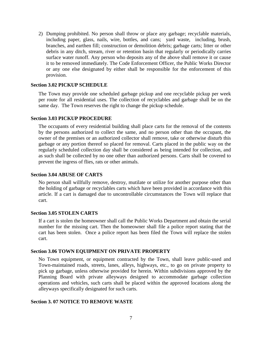2) Dumping prohibited. No person shall throw or place any garbage; recyclable materials, including paper, glass, nails, wire, bottles, and cans; yard waste, including, brush, branches, and earthen fill; construction or demolition debris; garbage carts; litter or other debris in any ditch, stream, river or retention basin that regularly or periodically carries surface water runoff. Any person who deposits any of the above shall remove it or cause it to be removed immediately. The Code Enforcement Officer, the Public Works Director or any one else designated by either shall be responsible for the enforcement of this provision.

## **Section 3.02 PICKUP SCHEDULE**

The Town may provide one scheduled garbage pickup and one recyclable pickup per week per route for all residential uses. The collection of recyclables and garbage shall be on the same day. The Town reserves the right to change the pickup schedule.

## **Section 3.03 PICKUP PROCEDURE**

The occupants of every residential building shall place carts for the removal of the contents by the persons authorized to collect the same, and no person other than the occupant, the owner of the premises or an authorized collector shall remove, take or otherwise disturb this garbage or any portion thereof so placed for removal. Carts placed in the public way on the regularly scheduled collection day shall be considered as being intended for collection, and as such shall be collected by no one other than authorized persons. Carts shall be covered to prevent the ingress of flies, rats or other animals.

## **Section 3.04 ABUSE OF CARTS**

No person shall willfully remove, destroy, mutilate or utilize for another purpose other than the holding of garbage or recyclables carts which have been provided in accordance with this article. If a cart is damaged due to uncontrollable circumstances the Town will replace that cart.

#### **Section 3.05 STOLEN CARTS**

If a cart is stolen the homeowner shall call the Public Works Department and obtain the serial number for the missing cart. Then the homeowner shall file a police report stating that the cart has been stolen. Once a police report has been filed the Town will replace the stolen cart.

## **Section 3.06 TOWN EQUIPMENT ON PRIVATE PROPERTY**

No Town equipment, or equipment contracted by the Town, shall leave public-used and Town-maintained roads, streets, lanes, alleys, highways, etc., to go on private property to pick up garbage, unless otherwise provided for herein. Within subdivisions approved by the Planning Board with private alleyways designed to accommodate garbage collection operations and vehicles, such carts shall be placed within the approved locations along the alleyways specifically designated for such carts.

## **Section 3. 07 NOTICE TO REMOVE WASTE**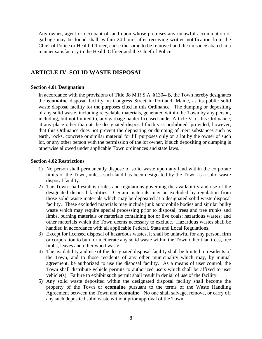Any owner, agent or occupant of land upon whose premises any unlawful accumulation of garbage may be found shall, within 24 hours after receiving written notification from the Chief of Police or Health Officer, cause the same to be removed and the nuisance abated in a manner satisfactory to the Health Officer and the Chief of Police.

# **ARTICLE IV. SOLID WASTE DISPOSAL**

#### **Section 4.01 Designation**

In accordance with the provisions of Title 38 M.R.S.A. §1304-B, the Town hereby designates the **ecomaine** disposal facility on Congress Street in Portland, Maine, as its public solid waste disposal facility for the purposes cited in this Ordinance. The dumping or depositing of any solid waste, including recyclable materials, generated within the Town by any person, including, but not limited to, any garbage hauler licensed under Article V of this Ordinance, at any place other than at the designated disposal facility is prohibited, provided, however, that this Ordinance does not prevent the depositing or dumping of inert substances such as earth, rocks, concrete or similar material for fill purposes only on a lot by the owner of such lot, or any other person with the permission of the lot owner, if such depositing or dumping is otherwise allowed under applicable Town ordinances and state laws.

#### **Section 4.02 Restrictions**

- 1) No person shall permanently dispose of solid waste upon any land within the corporate limits of the Town, unless such land has been designated by the Town as a solid waste disposal facility.
- 2) The Town shall establish rules and regulations governing the availability and use of the designated disposal facilities. Certain materials may be excluded by regulation from those solid waste materials which may be deposited at a designated solid waste disposal facility. These excluded materials may include junk automobile bodies and similar bulky waste which may require special processing prior to disposal, trees and tree trunks and limbs, burning materials or materials containing hot or live coals; hazardous wastes; and other materials which the Town deems necessary to exclude. Hazardous wastes shall be handled in accordance with all applicable Federal, State and Local Regulations.
- 3) Except for licensed disposal of hazardous wastes, it shall be unlawful for any person, firm or corporation to burn or incinerate any solid waste within the Town other than trees, tree limbs, leaves and other wood waste.
- 4) The availability and use of the designated disposal facility shall be limited to residents of the Town, and to those residents of any other municipality which may, by mutual agreement, be authorized to use the disposal facility. As a means of user control, the Town shall distribute vehicle permits to authorized users which shall be affixed to user vehicle(s). Failure to exhibit such permit shall result in denial of use of the facility.
- 5) Any solid waste deposited within the designated disposal facility shall become the property of the Town or **ecomaine** pursuant to the terms of the Waste Handling Agreement between the Town and **ecomaine**. No one shall salvage, remove, or carry off any such deposited solid waste without prior approval of the Town.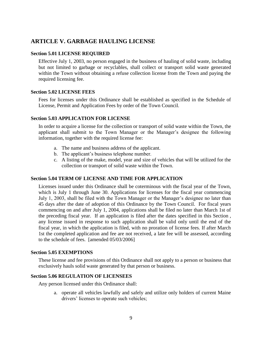# **ARTICLE V. GARBAGE HAULING LICENSE**

## **Section 5.01 LICENSE REQUIRED**

Effective July 1, 2003, no person engaged in the business of hauling of solid waste, including but not limited to garbage or recyclables, shall collect or transport solid waste generated within the Town without obtaining a refuse collection license from the Town and paying the required licensing fee.

## **Section 5.02 LICENSE FEES**

Fees for licenses under this Ordinance shall be established as specified in the Schedule of License, Permit and Application Fees by order of the Town Council.

## **Section 5.03 APPLICATION FOR LICENSE**

In order to acquire a license for the collection or transport of solid waste within the Town, the applicant shall submit to the Town Manager or the Manager's designee the following information, together with the required license fee:

- a. The name and business address of the applicant.
- b. The applicant's business telephone number.
- c. A listing of the make, model, year and size of vehicles that will be utilized for the collection or transport of solid waste within the Town.

## **Section 5.04 TERM OF LICENSE AND TIME FOR APPLICATION**

Licenses issued under this Ordinance shall be coterminous with the fiscal year of the Town, which is July 1 through June 30. Applications for licenses for the fiscal year commencing July 1, 2003, shall be filed with the Town Manager or the Manager's designee no later than 45 days after the date of adoption of this Ordinance by the Town Council. For fiscal years commencing on and after July 1, 2004, applications shall be filed no later than March 1st of the preceding fiscal year. If an application is filed after the dates specified in this Section , any license issued in response to such application shall be valid only until the end of the fiscal year, in which the application is filed, with no proration of license fees. If after March 1st the completed application and fee are not received, a late fee will be assessed, according to the schedule of fees. [amended 05/03/2006]

#### **Section 5.05 EXEMPTIONS**

These license and fee provisions of this Ordinance shall not apply to a person or business that exclusively hauls solid waste generated by that person or business.

## **Section 5.06 REGULATION OF LICENSEES**

Any person licensed under this Ordinance shall:

a. operate all vehicles lawfully and safely and utilize only holders of current Maine drivers' licenses to operate such vehicles;